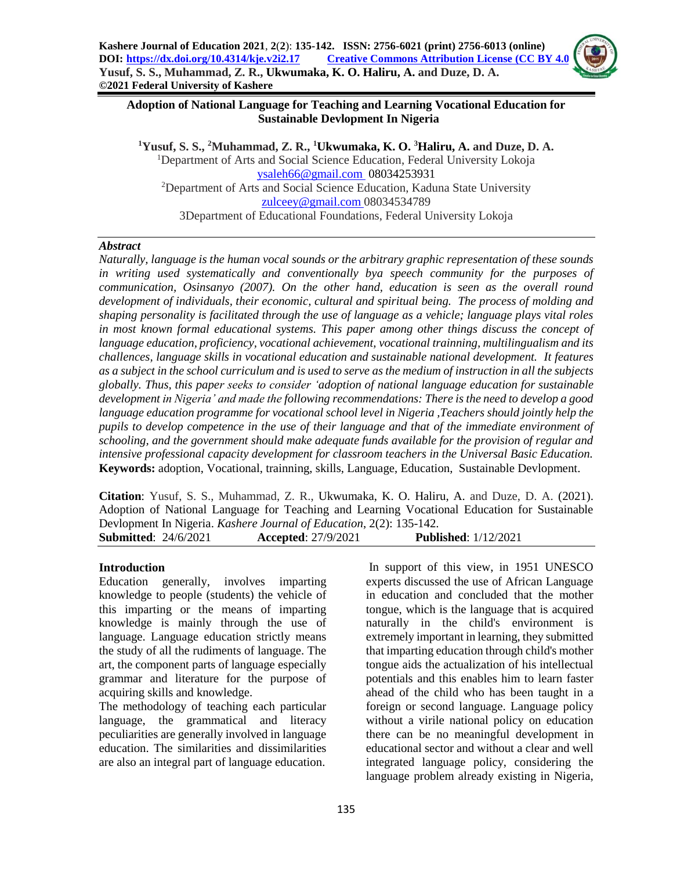#### **Adoption of National Language for Teaching and Learning Vocational Education for Sustainable Devlopment In Nigeria**

**<sup>1</sup>Yusuf, S. S., <sup>2</sup>Muhammad, Z. R., <sup>1</sup>Ukwumaka, K. O. <sup>3</sup>Haliru, A. and Duze, D. A.** <sup>1</sup>Department of Arts and Social Science Education, Federal University Lokoja [ysaleh66@gmail.com](mailto:Ysaleh66@gmail.com) 08034253931 <sup>2</sup>Department of Arts and Social Science Education, Kaduna State University [zulceey@gmail.com](mailto:zulceey@gmail.com) 08034534789 3Department of Educational Foundations, Federal University Lokoja

#### *Abstract*

*Naturally, language is the human vocal sounds or the arbitrary graphic representation of these sounds in writing used systematically and conventionally bya speech community for the purposes of communication, Osinsanyo (2007). On the other hand, education is seen as the overall round development of individuals, their economic, cultural and spiritual being. The process of molding and shaping personality is facilitated through the use of language as a vehicle; language plays vital roles in most known formal educational systems. This paper among other things discuss the concept of language education, proficiency, vocational achievement, vocational trainning, multilingualism and its challences, language skills in vocational education and sustainable national development. It features as a subject in the school curriculum and is used to serve as the medium of instruction in all the subjects globally. Thus, this paper seeks to consider 'adoption of national language education for sustainable development in Nigeria' and made the following recommendations: There is the need to develop a good language education programme for vocational school level in Nigeria ,Teachers should jointly help the pupils to develop competence in the use of their language and that of the immediate environment of schooling, and the government should make adequate funds available for the provision of regular and intensive professional capacity development for classroom teachers in the Universal Basic Education.* **Keywords:** adoption, Vocational, trainning, skills, Language, Education, Sustainable Devlopment.

**Citation**: Yusuf, S. S., Muhammad, Z. R., Ukwumaka, K. O. Haliru, A. and Duze, D. A. (2021). Adoption of National Language for Teaching and Learning Vocational Education for Sustainable Devlopment In Nigeria. *Kashere Journal of Education*, 2(2): 135-142. **Submitted**: 24/6/2021 **Accepted**: 27/9/2021 **Published**: 1/12/2021

#### **Introduction**

Education generally, involves imparting knowledge to people (students) the vehicle of this imparting or the means of imparting knowledge is mainly through the use of language. Language education strictly means the study of all the rudiments of language. The art, the component parts of language especially grammar and literature for the purpose of acquiring skills and knowledge.

The methodology of teaching each particular language, the grammatical and literacy peculiarities are generally involved in language education. The similarities and dissimilarities are also an integral part of language education.

In support of this view, in 1951 UNESCO experts discussed the use of African Language in education and concluded that the mother tongue, which is the language that is acquired naturally in the child's environment is extremely important in learning, they submitted that imparting education through child's mother tongue aids the actualization of his intellectual potentials and this enables him to learn faster ahead of the child who has been taught in a foreign or second language. Language policy without a virile national policy on education there can be no meaningful development in educational sector and without a clear and well integrated language policy, considering the language problem already existing in Nigeria,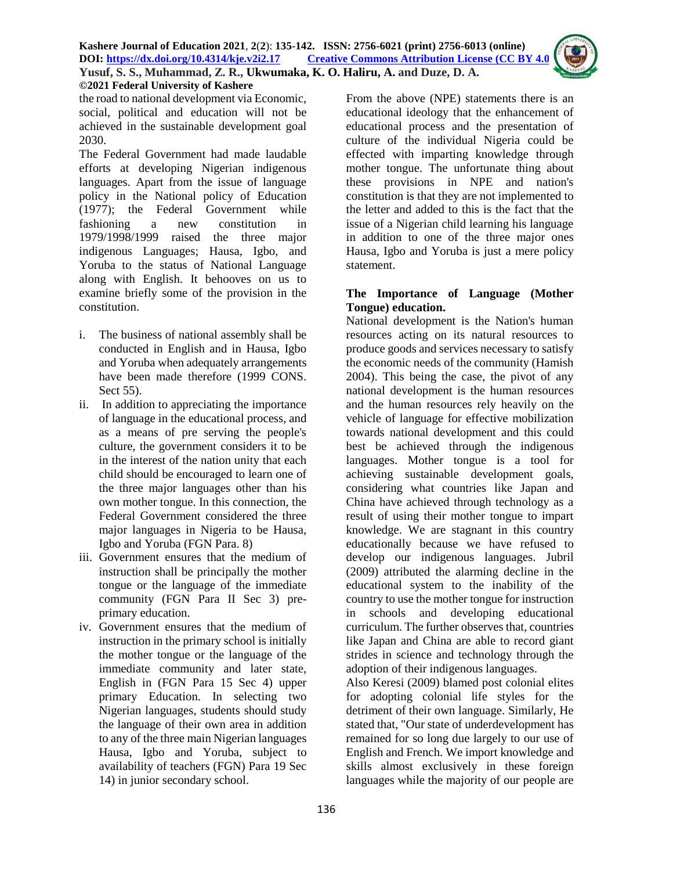the road to national development via Economic, social, political and education will not be achieved in the sustainable development goal 2030.

The Federal Government had made laudable efforts at developing Nigerian indigenous languages. Apart from the issue of language policy in the National policy of Education (1977); the Federal Government while fashioning a new constitution in 1979/1998/1999 raised the three major indigenous Languages; Hausa, Igbo, and Yoruba to the status of National Language along with English. It behooves on us to examine briefly some of the provision in the constitution.

- i. The business of national assembly shall be conducted in English and in Hausa, Igbo and Yoruba when adequately arrangements have been made therefore (1999 CONS. Sect 55).
- ii. In addition to appreciating the importance of language in the educational process, and as a means of pre serving the people's culture, the government considers it to be in the interest of the nation unity that each child should be encouraged to learn one of the three major languages other than his own mother tongue. In this connection, the Federal Government considered the three major languages in Nigeria to be Hausa, Igbo and Yoruba (FGN Para. 8)
- iii. Government ensures that the medium of instruction shall be principally the mother tongue or the language of the immediate community (FGN Para II Sec 3) preprimary education.
- iv. Government ensures that the medium of instruction in the primary school is initially the mother tongue or the language of the immediate community and later state, English in (FGN Para 15 Sec 4) upper primary Education. In selecting two Nigerian languages, students should study the language of their own area in addition to any of the three main Nigerian languages Hausa, Igbo and Yoruba, subject to availability of teachers (FGN) Para 19 Sec 14) in junior secondary school.

From the above (NPE) statements there is an educational ideology that the enhancement of educational process and the presentation of culture of the individual Nigeria could be effected with imparting knowledge through mother tongue. The unfortunate thing about these provisions in NPE and nation's constitution is that they are not implemented to the letter and added to this is the fact that the issue of a Nigerian child learning his language in addition to one of the three major ones Hausa, Igbo and Yoruba is just a mere policy statement.

### **The Importance of Language (Mother Tongue) education.**

National development is the Nation's human resources acting on its natural resources to produce goods and services necessary to satisfy the economic needs of the community (Hamish 2004). This being the case, the pivot of any national development is the human resources and the human resources rely heavily on the vehicle of language for effective mobilization towards national development and this could best be achieved through the indigenous languages. Mother tongue is a tool for achieving sustainable development goals, considering what countries like Japan and China have achieved through technology as a result of using their mother tongue to impart knowledge. We are stagnant in this country educationally because we have refused to develop our indigenous languages. Jubril (2009) attributed the alarming decline in the educational system to the inability of the country to use the mother tongue for instruction in schools and developing educational curriculum. The further observes that, countries like Japan and China are able to record giant strides in science and technology through the adoption of their indigenous languages.

Also Keresi (2009) blamed post colonial elites for adopting colonial life styles for the detriment of their own language. Similarly, He stated that, "Our state of underdevelopment has remained for so long due largely to our use of English and French. We import knowledge and skills almost exclusively in these foreign languages while the majority of our people are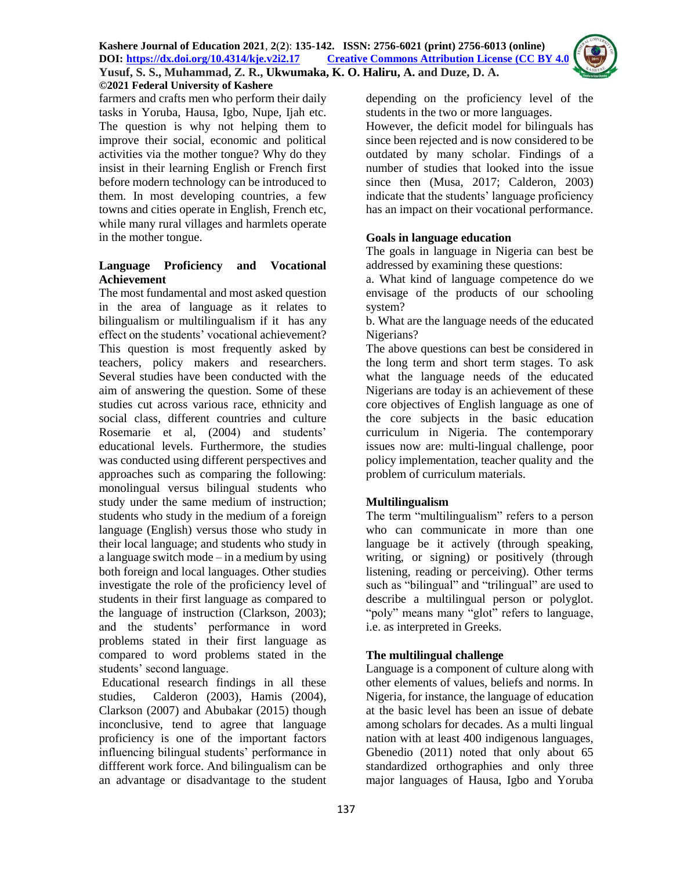

farmers and crafts men who perform their daily tasks in Yoruba, Hausa, Igbo, Nupe, Ijah etc. The question is why not helping them to improve their social, economic and political activities via the mother tongue? Why do they insist in their learning English or French first before modern technology can be introduced to them. In most developing countries, a few towns and cities operate in English, French etc, while many rural villages and harmlets operate in the mother tongue.

# **Language Proficiency and Vocational Achievement**

The most fundamental and most asked question in the area of language as it relates to bilingualism or multilingualism if it has any effect on the students' vocational achievement? This question is most frequently asked by teachers, policy makers and researchers. Several studies have been conducted with the aim of answering the question. Some of these studies cut across various race, ethnicity and social class, different countries and culture Rosemarie et al, (2004) and students' educational levels. Furthermore, the studies was conducted using different perspectives and approaches such as comparing the following: monolingual versus bilingual students who study under the same medium of instruction; students who study in the medium of a foreign language (English) versus those who study in their local language; and students who study in a language switch mode – in a medium by using both foreign and local languages. Other studies investigate the role of the proficiency level of students in their first language as compared to the language of instruction (Clarkson, 2003); and the students' performance in word problems stated in their first language as compared to word problems stated in the students' second language.

Educational research findings in all these studies, Calderon (2003), Hamis (2004), Clarkson (2007) and Abubakar (2015) though inconclusive, tend to agree that language proficiency is one of the important factors influencing bilingual students' performance in diffferent work force. And bilingualism can be an advantage or disadvantage to the student depending on the proficiency level of the students in the two or more languages.

However, the deficit model for bilinguals has since been rejected and is now considered to be outdated by many scholar. Findings of a number of studies that looked into the issue since then (Musa, 2017; Calderon, 2003) indicate that the students' language proficiency has an impact on their vocational performance.

### **Goals in language education**

The goals in language in Nigeria can best be addressed by examining these questions:

a. What kind of language competence do we envisage of the products of our schooling system?

b. What are the language needs of the educated Nigerians?

The above questions can best be considered in the long term and short term stages. To ask what the language needs of the educated Nigerians are today is an achievement of these core objectives of English language as one of the core subjects in the basic education curriculum in Nigeria. The contemporary issues now are: multi-lingual challenge, poor policy implementation, teacher quality and the problem of curriculum materials.

### **Multilingualism**

The term "multilingualism" refers to a person who can communicate in more than one language be it actively (through speaking, writing, or signing) or positively (through listening, reading or perceiving). Other terms such as "bilingual" and "trilingual" are used to describe a multilingual person or polyglot. "poly" means many "glot" refers to language, i.e. as interpreted in Greeks.

### **The multilingual challenge**

Language is a component of culture along with other elements of values, beliefs and norms. In Nigeria, for instance, the language of education at the basic level has been an issue of debate among scholars for decades. As a multi lingual nation with at least 400 indigenous languages, Gbenedio (2011) noted that only about 65 standardized orthographies and only three major languages of Hausa, Igbo and Yoruba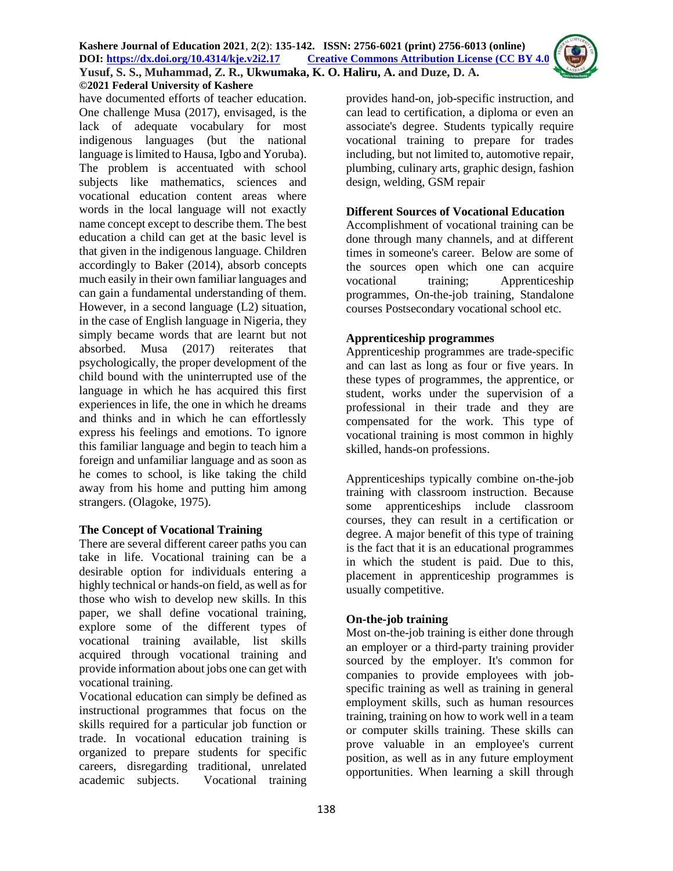

have documented efforts of teacher education. One challenge Musa (2017), envisaged, is the lack of adequate vocabulary for most indigenous languages (but the national language is limited to Hausa, Igbo and Yoruba). The problem is accentuated with school subjects like mathematics, sciences and vocational education content areas where words in the local language will not exactly name concept except to describe them. The best education a child can get at the basic level is that given in the indigenous language. Children accordingly to Baker (2014), absorb concepts much easily in their own familiar languages and can gain a fundamental understanding of them. However, in a second language (L2) situation, in the case of English language in Nigeria, they simply became words that are learnt but not absorbed. Musa (2017) reiterates that psychologically, the proper development of the child bound with the uninterrupted use of the language in which he has acquired this first experiences in life, the one in which he dreams and thinks and in which he can effortlessly express his feelings and emotions. To ignore this familiar language and begin to teach him a foreign and unfamiliar language and as soon as he comes to school, is like taking the child away from his home and putting him among strangers. (Olagoke, 1975).

### **The Concept of Vocational Training**

There are several different career paths you can take in life. Vocational training can be a desirable option for individuals entering a highly technical or hands-on field, as well as for those who wish to develop new skills. In this paper, we shall define vocational training, explore some of the different types of vocational training available, list skills acquired through vocational training and provide information about jobs one can get with vocational training.

Vocational education can simply be defined as instructional programmes that focus on the skills required for a particular job function or trade. In vocational education training is organized to prepare students for specific careers, disregarding traditional, unrelated academic subjects. Vocational training

provides hand-on, job-specific instruction, and can lead to certification, a diploma or even an associate's degree. Students typically require vocational training to prepare for trades including, but not limited to, automotive repair, plumbing, culinary arts, graphic design, fashion design, welding, GSM repair

# **Different Sources of Vocational Education**

Accomplishment of vocational training can be done through many channels, and at different times in someone's career. Below are some of the sources open which one can acquire vocational training; Apprenticeship programmes, On-the-job training, Standalone courses Postsecondary vocational school etc.

# **Apprenticeship programmes**

Apprenticeship programmes are trade-specific and can last as long as four or five years. In these types of programmes, the apprentice, or student, works under the supervision of a professional in their trade and they are compensated for the work. This type of vocational training is most common in highly skilled, hands-on professions.

Apprenticeships typically combine on-the-job training with classroom instruction. Because some apprenticeships include classroom courses, they can result in a certification or degree. A major benefit of this type of training is the fact that it is an educational programmes in which the student is paid. Due to this, placement in apprenticeship programmes is usually competitive.

### **On-the-job training**

Most on-the-job training is either done through an employer or a third-party training provider sourced by the employer. It's common for companies to provide employees with jobspecific training as well as training in general employment skills, such as human resources training, training on how to work well in a team or computer skills training. These skills can prove valuable in an employee's current position, as well as in any future employment opportunities. When learning a skill through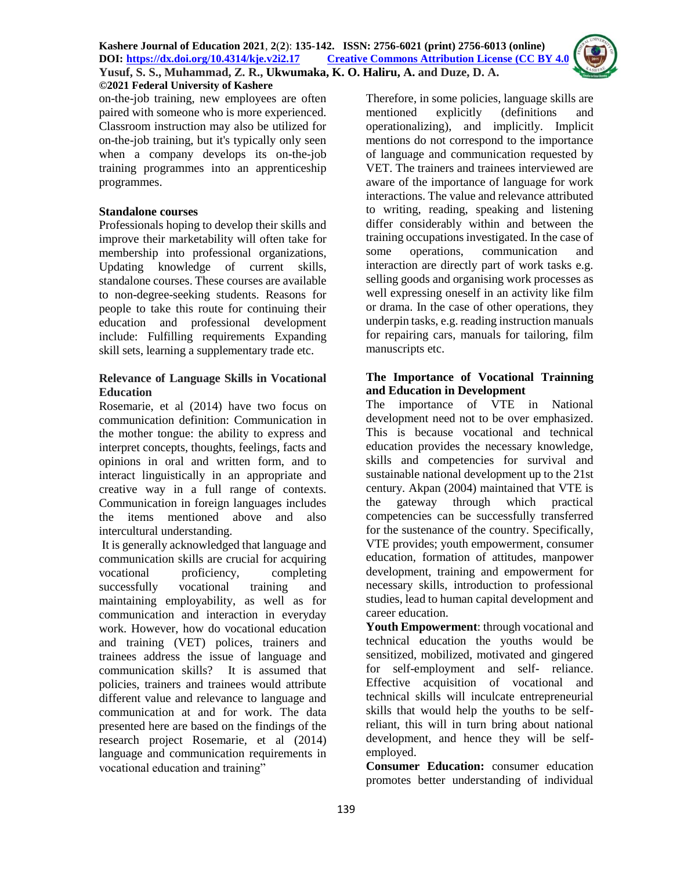**©2021 Federal University of Kashere**

on-the-job training, new employees are often paired with someone who is more experienced. Classroom instruction may also be utilized for on-the-job training, but it's typically only seen when a company develops its on-the-job training programmes into an apprenticeship programmes.

#### **Standalone courses**

Professionals hoping to develop their skills and improve their marketability will often take for membership into professional organizations, Updating knowledge of current skills, standalone courses. These courses are available to non-degree-seeking students. Reasons for people to take this route for continuing their education and professional development include: Fulfilling requirements Expanding skill sets, learning a supplementary trade etc.

#### **Relevance of Language Skills in Vocational Education**

Rosemarie, et al (2014) have two focus on communication definition: Communication in the mother tongue: the ability to express and interpret concepts, thoughts, feelings, facts and opinions in oral and written form, and to interact linguistically in an appropriate and creative way in a full range of contexts. Communication in foreign languages includes the items mentioned above and also intercultural understanding.

It is generally acknowledged that language and communication skills are crucial for acquiring vocational proficiency, completing successfully vocational training and maintaining employability, as well as for communication and interaction in everyday work. However, how do vocational education and training (VET) polices, trainers and trainees address the issue of language and communication skills? It is assumed that policies, trainers and trainees would attribute different value and relevance to language and communication at and for work. The data presented here are based on the findings of the research project Rosemarie, et al (2014) language and communication requirements in vocational education and training"

Therefore, in some policies, language skills are mentioned explicitly (definitions and operationalizing), and implicitly. Implicit mentions do not correspond to the importance of language and communication requested by VET. The trainers and trainees interviewed are aware of the importance of language for work interactions. The value and relevance attributed to writing, reading, speaking and listening differ considerably within and between the training occupations investigated. In the case of some operations, communication and interaction are directly part of work tasks e.g. selling goods and organising work processes as well expressing oneself in an activity like film or drama. In the case of other operations, they underpin tasks, e.g. reading instruction manuals for repairing cars, manuals for tailoring, film manuscripts etc.

#### **The Importance of Vocational Trainning and Education in Development**

The importance of VTE in National development need not to be over emphasized. This is because vocational and technical education provides the necessary knowledge, skills and competencies for survival and sustainable national development up to the 21st century. Akpan (2004) maintained that VTE is the gateway through which practical competencies can be successfully transferred for the sustenance of the country. Specifically, VTE provides; youth empowerment, consumer education, formation of attitudes, manpower development, training and empowerment for necessary skills, introduction to professional studies, lead to human capital development and career education.

**Youth Empowerment**: through vocational and technical education the youths would be sensitized, mobilized, motivated and gingered for self-employment and self- reliance. Effective acquisition of vocational and technical skills will inculcate entrepreneurial skills that would help the youths to be selfreliant, this will in turn bring about national development, and hence they will be selfemployed.

**Consumer Education:** consumer education promotes better understanding of individual

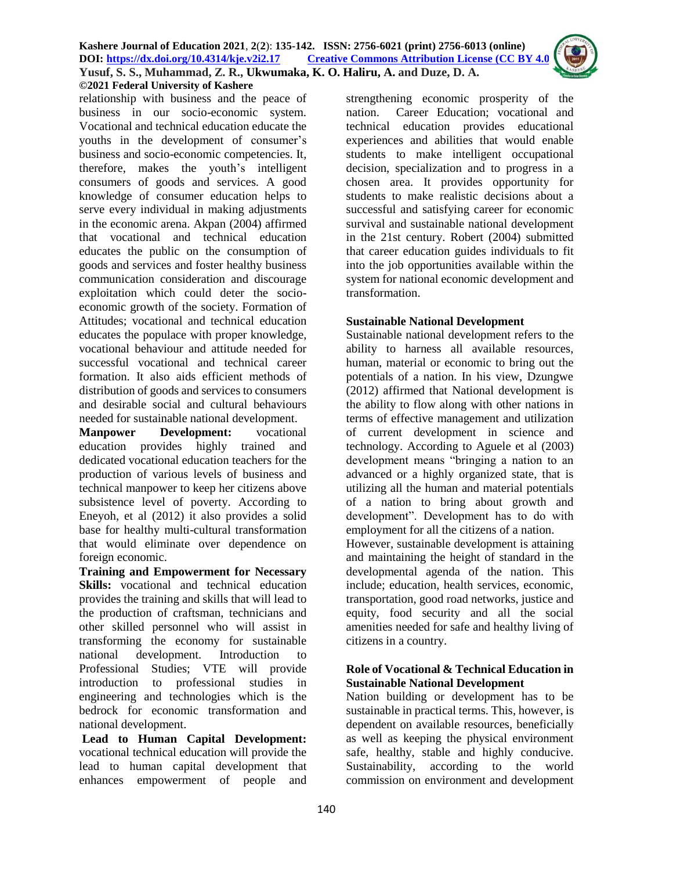relationship with business and the peace of business in our socio-economic system. Vocational and technical education educate the youths in the development of consumer's business and socio-economic competencies. It, therefore, makes the youth's intelligent consumers of goods and services. A good knowledge of consumer education helps to serve every individual in making adjustments in the economic arena. Akpan (2004) affirmed that vocational and technical education educates the public on the consumption of goods and services and foster healthy business communication consideration and discourage exploitation which could deter the socioeconomic growth of the society. Formation of Attitudes; vocational and technical education educates the populace with proper knowledge, vocational behaviour and attitude needed for successful vocational and technical career formation. It also aids efficient methods of distribution of goods and services to consumers and desirable social and cultural behaviours needed for sustainable national development.

**Manpower Development:** vocational education provides highly trained and dedicated vocational education teachers for the production of various levels of business and technical manpower to keep her citizens above subsistence level of poverty. According to Eneyoh, et al (2012) it also provides a solid base for healthy multi-cultural transformation that would eliminate over dependence on foreign economic.

**Training and Empowerment for Necessary Skills:** vocational and technical education provides the training and skills that will lead to the production of craftsman, technicians and other skilled personnel who will assist in transforming the economy for sustainable national development. Introduction to Professional Studies; VTE will provide introduction to professional studies in engineering and technologies which is the bedrock for economic transformation and national development.

**Lead to Human Capital Development:** vocational technical education will provide the lead to human capital development that enhances empowerment of people and

strengthening economic prosperity of the nation. Career Education; vocational and technical education provides educational experiences and abilities that would enable students to make intelligent occupational decision, specialization and to progress in a chosen area. It provides opportunity for students to make realistic decisions about a successful and satisfying career for economic survival and sustainable national development in the 21st century. Robert (2004) submitted that career education guides individuals to fit into the job opportunities available within the system for national economic development and transformation.

### **Sustainable National Development**

Sustainable national development refers to the ability to harness all available resources, human, material or economic to bring out the potentials of a nation. In his view, Dzungwe (2012) affirmed that National development is the ability to flow along with other nations in terms of effective management and utilization of current development in science and technology. According to Aguele et al (2003) development means "bringing a nation to an advanced or a highly organized state, that is utilizing all the human and material potentials of a nation to bring about growth and development". Development has to do with employment for all the citizens of a nation.

However, sustainable development is attaining and maintaining the height of standard in the developmental agenda of the nation. This include; education, health services, economic, transportation, good road networks, justice and equity, food security and all the social amenities needed for safe and healthy living of citizens in a country.

#### **Role of Vocational & Technical Education in Sustainable National Development**

Nation building or development has to be sustainable in practical terms. This, however, is dependent on available resources, beneficially as well as keeping the physical environment safe, healthy, stable and highly conducive. Sustainability, according to the world commission on environment and development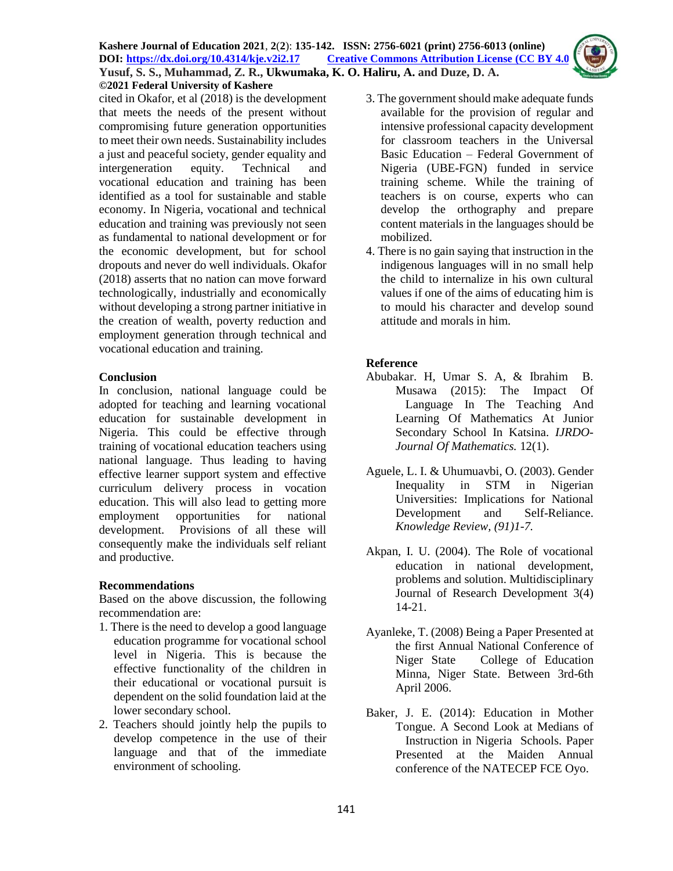#### **Kashere Journal of Education 2021**, **2**(**2**): **135-142. ISSN: 2756-6021 (print) 2756-6013 (online) DOI: <https://dx.doi.org/10.4314/kje.v2i2.17> [Creative Commons Attribution License](http://creativecommons.org/licenses/by/4.0/) (CC BY 4.0) Yusuf, S. S., Muhammad, Z. R., Ukwumaka, K. O. Haliru, A. and Duze, D. A. ©2021 Federal University of Kashere**

cited in Okafor, et al (2018) is the development that meets the needs of the present without compromising future generation opportunities to meet their own needs. Sustainability includes a just and peaceful society, gender equality and intergeneration equity. Technical and vocational education and training has been identified as a tool for sustainable and stable economy. In Nigeria, vocational and technical education and training was previously not seen as fundamental to national development or for the economic development, but for school dropouts and never do well individuals. Okafor (2018) asserts that no nation can move forward technologically, industrially and economically without developing a strong partner initiative in the creation of wealth, poverty reduction and employment generation through technical and vocational education and training.

### **Conclusion**

In conclusion, national language could be adopted for teaching and learning vocational education for sustainable development in Nigeria. This could be effective through training of vocational education teachers using national language. Thus leading to having effective learner support system and effective curriculum delivery process in vocation education. This will also lead to getting more employment opportunities for national development. Provisions of all these will consequently make the individuals self reliant and productive.

### **Recommendations**

Based on the above discussion, the following recommendation are:

- 1. There is the need to develop a good language education programme for vocational school level in Nigeria. This is because the effective functionality of the children in their educational or vocational pursuit is dependent on the solid foundation laid at the lower secondary school.
- 2. Teachers should jointly help the pupils to develop competence in the use of their language and that of the immediate environment of schooling.
- 3. The government should make adequate funds available for the provision of regular and intensive professional capacity development for classroom teachers in the Universal Basic Education – Federal Government of Nigeria (UBE-FGN) funded in service training scheme. While the training of teachers is on course, experts who can develop the orthography and prepare content materials in the languages should be mobilized.
- 4. There is no gain saying that instruction in the indigenous languages will in no small help the child to internalize in his own cultural values if one of the aims of educating him is to mould his character and develop sound attitude and morals in him.

# **Reference**

- Abubakar. H, Umar S. A, & Ibrahim B. Musawa (2015): The Impact Of Language In The Teaching And Learning Of Mathematics At Junior Secondary School In Katsina. *IJRDO-Journal Of Mathematics.* 12(1).
- Aguele, L. I. & Uhumuavbi, O. (2003). Gender Inequality in STM in Nigerian Universities: Implications for National Development and Self-Reliance. *Knowledge Review, (91)1-7.*
- Akpan, I. U. (2004). The Role of vocational education in national development, problems and solution. Multidisciplinary Journal of Research Development 3(4) 14-21.
- Ayanleke, T. (2008) Being a Paper Presented at the first Annual National Conference of Niger State College of Education Minna, Niger State. Between 3rd-6th April 2006.
- Baker, J. E. (2014): Education in Mother Tongue. A Second Look at Medians of Instruction in Nigeria Schools. Paper Presented at the Maiden Annual conference of the NATECEP FCE Oyo.